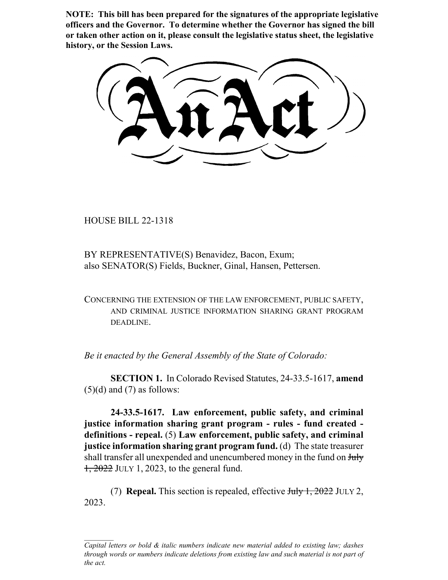**NOTE: This bill has been prepared for the signatures of the appropriate legislative officers and the Governor. To determine whether the Governor has signed the bill or taken other action on it, please consult the legislative status sheet, the legislative history, or the Session Laws.**

HOUSE BILL 22-1318

BY REPRESENTATIVE(S) Benavidez, Bacon, Exum; also SENATOR(S) Fields, Buckner, Ginal, Hansen, Pettersen.

CONCERNING THE EXTENSION OF THE LAW ENFORCEMENT, PUBLIC SAFETY, AND CRIMINAL JUSTICE INFORMATION SHARING GRANT PROGRAM DEADLINE.

*Be it enacted by the General Assembly of the State of Colorado:*

**SECTION 1.** In Colorado Revised Statutes, 24-33.5-1617, **amend**  $(5)(d)$  and  $(7)$  as follows:

**24-33.5-1617. Law enforcement, public safety, and criminal justice information sharing grant program - rules - fund created definitions - repeal.** (5) **Law enforcement, public safety, and criminal justice information sharing grant program fund.** (d) The state treasurer shall transfer all unexpended and unencumbered money in the fund on  $J_{\text{t}}$  $1,2022$  JULY 1, 2023, to the general fund.

(7) **Repeal.** This section is repealed, effective July 1, 2022 JULY 2, 2023.

*Capital letters or bold & italic numbers indicate new material added to existing law; dashes through words or numbers indicate deletions from existing law and such material is not part of the act.*